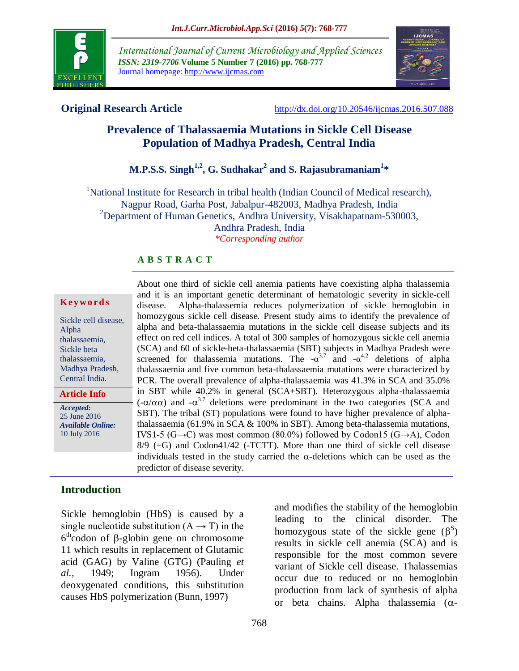

*International Journal of Current Microbiology and Applied Sciences ISSN: 2319-7706* **Volume 5 Number 7 (2016) pp. 768-777** Journal homepage: http://www.ijcmas.com



**Original Research Article** <http://dx.doi.org/10.20546/ijcmas.2016.507.088>

# **Prevalence of Thalassaemia Mutations in Sickle Cell Disease Population of Madhya Pradesh, Central India**

# **M.P.S.S. Singh1,2, G. Sudhakar<sup>2</sup> and S. Rajasubramaniam<sup>1</sup> \***

<sup>1</sup>National Institute for Research in tribal health (Indian Council of Medical research), Nagpur Road, Garha Post, Jabalpur-482003, Madhya Pradesh, India <sup>2</sup>Department of Human Genetics, Andhra University, Visakhapatnam-530003, Andhra Pradesh, India *\*Corresponding author*

#### **A B S T R A C T**

#### **K ey w o rd s**

Sickle cell disease, Alpha thalassaemia, Sickle beta thalassaemia, Madhya Pradesh, Central India.

**Article Info**

*Accepted:*  25 June 2016 *Available Online:* 10 July 2016

About one third of sickle cell anemia patients have coexisting alpha thalassemia and it is an important genetic determinant of hematologic severity in sickle-cell disease. Alpha-thalassemia reduces polymerization of sickle hemoglobin in homozygous sickle cell disease. Present study aims to identify the prevalence of alpha and beta-thalassaemia mutations in the sickle cell disease subjects and its effect on red cell indices. A total of 300 samples of homozygous sickle cell anemia (SCA) and 60 of sickle-beta-thalassaemia (SBT) subjects in Madhya Pradesh were screened for thalassemia mutations. The  $-a^{3.7}$  and  $-a^{4.2}$  deletions of alpha thalassaemia and five common beta-thalassaemia mutations were characterized by PCR. The overall prevalence of alpha-thalassaemia was 41.3% in SCA and 35.0% in SBT while 40.2% in general (SCA+SBT). Heterozygous alpha-thalassaemia  $(-\alpha/\alpha\alpha)$  and  $-\alpha^{3.7}$  deletions were predominant in the two categories (SCA and SBT). The tribal (ST) populations were found to have higher prevalence of alphathalassaemia (61.9% in SCA & 100% in SBT). Among beta-thalassemia mutations, IVS1-5 (G→C) was most common (80.0%) followed by Codon15 (G→A), Codon 8/9 (+G) and Codon41/42 (-TCTT). More than one third of sickle cell disease individuals tested in the study carried the  $\alpha$ -deletions which can be used as the predictor of disease severity.

## **Introduction**

Sickle hemoglobin (HbS) is caused by a single nucleotide substitution  $(A \rightarrow T)$  in the  $6<sup>th</sup>$ codon of  $\beta$ -globin gene on chromosome 11 which results in replacement of Glutamic acid (GAG) by Valine (GTG) (Pauling *et al.,* 1949; Ingram 1956). Under deoxygenated conditions, this substitution causes HbS polymerization (Bunn, 1997)

and modifies the stability of the hemoglobin leading to the clinical disorder. The homozygous state of the sickle gene  $(\beta^S)$ results in sickle cell anemia (SCA) and is responsible for the most common severe variant of Sickle cell disease. Thalassemias occur due to reduced or no hemoglobin production from lack of synthesis of alpha or beta chains. Alpha thalassemia  $(\alpha -$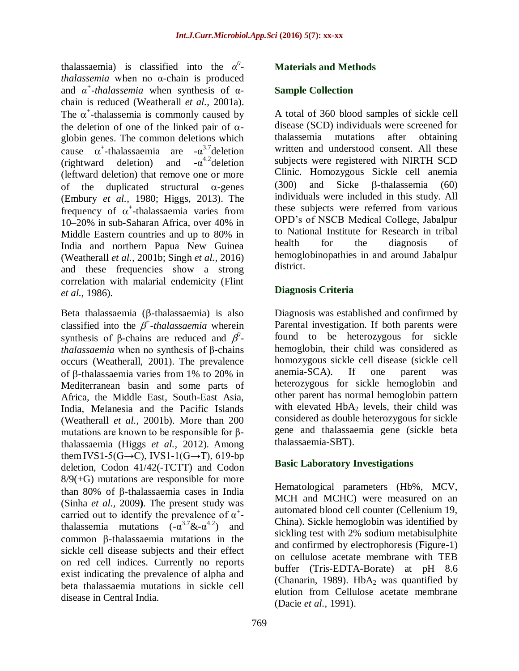thalassaemia) is classified into the  $\alpha^0$ *thalassemia* when no α-chain is produced and  $\alpha^+$ -*thalassemia* when synthesis of  $\alpha$ chain is reduced (Weatherall *et al.,* 2001a). The  $\alpha^+$ -thalassemia is commonly caused by the deletion of one of the linked pair of  $\alpha$ globin genes. The common deletions which cause  $\alpha^*$ -thalassaemia are  $-\alpha^{3.7}$ deletion  $(rightward$  deletion) and  $-\alpha^{4.2}$ deletion (leftward deletion) that remove one or more of the duplicated structural  $\alpha$ -genes (Embury *et al.,* 1980; Higgs, 2013). The frequency of  $\alpha^*$ -thalassaemia varies from 10–20% in sub-Saharan Africa, over 40% in Middle Eastern countries and up to 80% in India and northern Papua New Guinea (Weatherall *et al.,* 2001b; Singh *et al.,* 2016) and these frequencies show a strong correlation with malarial endemicity (Flint *et al.,* 1986).

Beta thalassaemia  $(\beta$ -thalassaemia) is also classified into the  $\beta^+$ -thalassaemia wherein synthesis of  $\beta$ -chains are reduced and  $\beta^0$ *thalassaemia* when no synthesis of β-chains occurs (Weatherall, 2001). The prevalence of  $\beta$ -thalassaemia varies from 1% to 20% in Mediterranean basin and some parts of Africa, the Middle East, South-East Asia, India, Melanesia and the Pacific Islands (Weatherall *et al.,* 2001b). More than 200 mutations are known to be responsible for βthalassaemia (Higgs *et al.,* 2012). Among them IVS1-5(G→C), IVS1-1(G→T), 619-bp deletion, Codon 41/42(-TCTT) and Codon  $8/9(+G)$  mutations are responsible for more than 80% of  $\beta$ -thalassaemia cases in India (Sinha *et al.,* 2009**)**. The present study was carried out to identify the prevalence of  $\alpha^+$ thalassemia mutations  $(-\alpha^{3.7} \& -\alpha^{4.2})$  and  $common$   $\beta$ -thalassaemia mutations in the sickle cell disease subjects and their effect on red cell indices. Currently no reports exist indicating the prevalence of alpha and beta thalassaemia mutations in sickle cell disease in Central India.

## **Materials and Methods**

#### **Sample Collection**

A total of 360 blood samples of sickle cell disease (SCD) individuals were screened for thalassemia mutations after obtaining written and understood consent. All these subjects were registered with NIRTH SCD Clinic. Homozygous Sickle cell anemia  $(300)$  and Sicke B-thalassemia  $(60)$ individuals were included in this study. All these subjects were referred from various OPD's of NSCB Medical College, Jabalpur to National Institute for Research in tribal health for the diagnosis of hemoglobinopathies in and around Jabalpur district.

#### **Diagnosis Criteria**

Diagnosis was established and confirmed by Parental investigation. If both parents were found to be heterozygous for sickle hemoglobin, their child was considered as homozygous sickle cell disease (sickle cell anemia-SCA). If one parent was heterozygous for sickle hemoglobin and other parent has normal hemoglobin pattern with elevated  $HbA<sub>2</sub>$  levels, their child was considered as double heterozygous for sickle gene and thalassaemia gene (sickle beta thalassaemia-SBT).

#### **Basic Laboratory Investigations**

Hematological parameters (Hb%, MCV, MCH and MCHC) were measured on an automated blood cell counter (Cellenium 19, China). Sickle hemoglobin was identified by sickling test with 2% sodium metabisulphite and confirmed by electrophoresis (Figure-1) on cellulose acetate membrane with TEB buffer (Tris-EDTA-Borate) at pH 8.6 (Chanarin, 1989). HbA<sub>2</sub> was quantified by elution from Cellulose acetate membrane (Dacie *et al.,* 1991).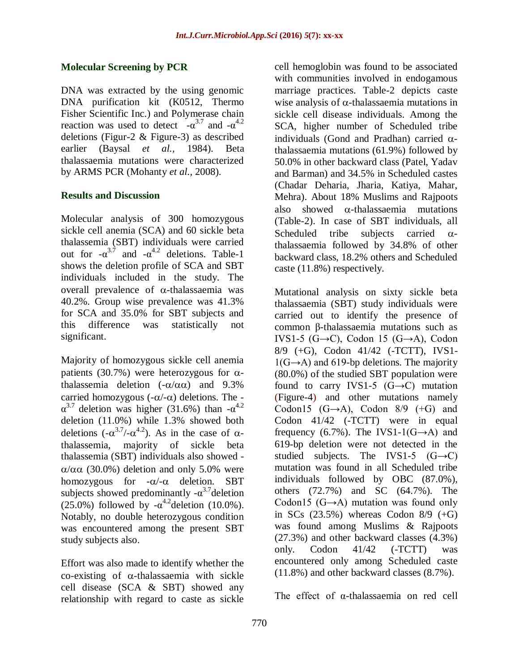#### **Molecular Screening by PCR**

DNA was extracted by the using genomic DNA purification kit (K0512, Thermo Fisher Scientific Inc.) and Polymerase chain reaction was used to detect  $-\alpha^{3.7}$  and  $-\alpha^{4.2}$ deletions (Figur-2 & Figure-3) as described earlier (Baysal *et al.,* 1984). Beta thalassaemia mutations were characterized by ARMS PCR (Mohanty *et al.,* 2008).

#### **Results and Discussion**

Molecular analysis of 300 homozygous sickle cell anemia (SCA) and 60 sickle beta thalassemia (SBT) individuals were carried out for  $-\alpha^{3.7}$  and  $-\alpha^{4.2}$  deletions. Table-1 shows the deletion profile of SCA and SBT individuals included in the study. The overall prevalence of  $\alpha$ -thalassaemia was 40.2%. Group wise prevalence was 41.3% for SCA and 35.0% for SBT subjects and this difference was statistically not significant.

Majority of homozygous sickle cell anemia patients (30.7%) were heterozygous for  $\alpha$ thalassemia deletion  $(-\alpha/\alpha\alpha)$  and 9.3% carried homozygous  $(-\alpha/-\alpha)$  deletions. The - $\alpha^{3.7}$  deletion was higher (31.6%) than - $\alpha^{4.2}$ deletion (11.0%) while 1.3% showed both deletions  $(-\alpha^{3.7}/-\alpha^{4.2})$ . As in the case of  $\alpha$ thalassemia, majority of sickle beta thalassemia (SBT) individuals also showed -  $\alpha/\alpha\alpha$  (30.0%) deletion and only 5.0% were homozygous for  $-\alpha/-\alpha$  deletion. SBT subjects showed predominantly  $-\alpha^{3.7}$ deletion (25.0%) followed by  $-\alpha^{4.2}$  deletion (10.0%). Notably, no double heterozygous condition was encountered among the present SBT study subjects also.

Effort was also made to identify whether the co-existing of  $\alpha$ -thalassaemia with sickle cell disease (SCA & SBT) showed any relationship with regard to caste as sickle

cell hemoglobin was found to be associated with communities involved in endogamous marriage practices. Table-2 depicts caste wise analysis of  $\alpha$ -thalassaemia mutations in sickle cell disease individuals. Among the SCA, higher number of Scheduled tribe individuals (Gond and Pradhan) carried  $\alpha$ thalassaemia mutations (61.9%) followed by 50.0% in other backward class (Patel, Yadav and Barman) and 34.5% in Scheduled castes (Chadar Deharia, Jharia, Katiya, Mahar, Mehra). About 18% Muslims and Rajpoots also showed  $\alpha$ -thalassaemia mutations (Table-2). In case of SBT individuals, all Scheduled tribe subjects carried  $\alpha$ thalassaemia followed by 34.8% of other backward class, 18.2% others and Scheduled caste (11.8%) respectively.

Mutational analysis on sixty sickle beta thalassaemia (SBT) study individuals were carried out to identify the presence of common β-thalassaemia mutations such as IVS1-5 (G $\rightarrow$ C), Codon 15 (G $\rightarrow$ A), Codon 8/9 (+G), Codon 41/42 (-TCTT), IVS1-  $1(G \rightarrow A)$  and 619-bp deletions. The majority (80.0%) of the studied SBT population were found to carry IVS1-5  $(G \rightarrow C)$  mutation (Figure-4) and other mutations namely Codon15  $(G \rightarrow A)$ , Codon 8/9  $(+G)$  and Codon 41/42 (-TCTT) were in equal frequency (6.7%). The IVS1-1(G $\rightarrow$ A) and 619-bp deletion were not detected in the studied subjects. The IVS1-5  $(G \rightarrow C)$ mutation was found in all Scheduled tribe individuals followed by OBC (87.0%), others (72.7%) and SC (64.7%). The Codon15  $(G \rightarrow A)$  mutation was found only in SCs  $(23.5\%)$  whereas Codon  $8/9$   $(+G)$ was found among Muslims & Rajpoots (27.3%) and other backward classes (4.3%) only. Codon 41/42 (-TCTT) was encountered only among Scheduled caste (11.8%) and other backward classes (8.7%).

The effect of α-thalassaemia on red cell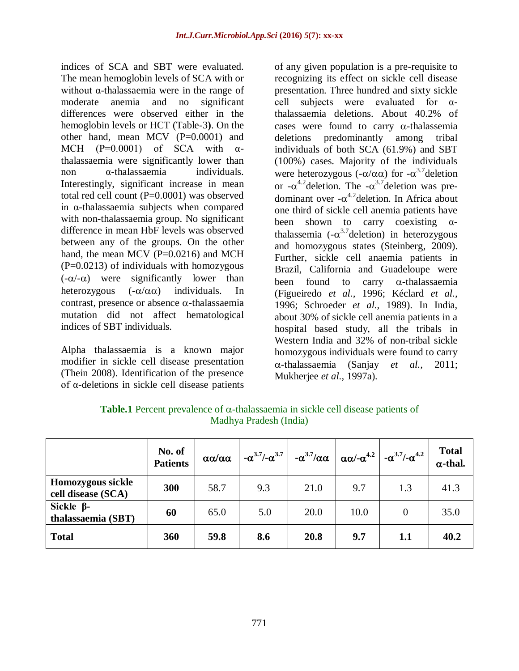indices of SCA and SBT were evaluated. The mean hemoglobin levels of SCA with or without α-thalassaemia were in the range of moderate anemia and no significant differences were observed either in the hemoglobin levels or HCT (Table-3**)**. On the other hand, mean MCV (P=0.0001) and MCH  $(P=0.0001)$  of SCA with  $\alpha$ thalassaemia were significantly lower than non α-thalassaemia individuals. Interestingly, significant increase in mean total red cell count (P=0.0001) was observed in α-thalassaemia subjects when compared with non-thalassaemia group. No significant difference in mean HbF levels was observed between any of the groups. On the other hand, the mean MCV  $(P=0.0216)$  and MCH  $(P=0.0213)$  of individuals with homozygous  $(-\alpha/-\alpha)$  were significantly lower than heterozygous  $(-\alpha/\alpha\alpha)$  individuals. In contrast, presence or absence  $\alpha$ -thalassaemia mutation did not affect hematological indices of SBT individuals.

Alpha thalassaemia is a known major modifier in sickle cell disease presentation (Thein 2008). Identification of the presence of α-deletions in sickle cell disease patients

of any given population is a pre-requisite to recognizing its effect on sickle cell disease presentation. Three hundred and sixty sickle cell subjects were evaluated for αthalassaemia deletions. About 40.2% of cases were found to carry  $\alpha$ -thalassemia deletions predominantly among tribal individuals of both SCA (61.9%) and SBT (100%) cases. Majority of the individuals were heterozygous ( $-\alpha/\alpha\alpha$ ) for  $-\alpha^{3.7}$ deletion or  $-\alpha^{4.2}$ deletion. The  $-\alpha^{3.7}$ deletion was predominant over  $-\alpha^{4.2}$ deletion. In Africa about one third of sickle cell anemia patients have been shown to carry coexisting  $\alpha$ thalassemia ( $-\alpha^{3.7}$ deletion) in heterozygous and homozygous states (Steinberg, 2009). Further, sickle cell anaemia patients in Brazil, California and Guadeloupe were been found to carry  $\alpha$ -thalassaemia (Figueiredo *et al.,* 1996; Kéclard *et al.,* 1996; Schroeder *et al.,* 1989). In India, about 30% of sickle cell anemia patients in a hospital based study, all the tribals in Western India and 32% of non-tribal sickle homozygous individuals were found to carry -thalassaemia (Sanjay *et al.,* 2011; Mukherjee *et al.,* 1997a).

|                                         | No. of<br><b>Patients</b> | αα/αα | $-\alpha^{3.7}/-\alpha^{3.7}$ |      |      | $-\alpha^{3.7}/\alpha\alpha \mid \alpha\alpha/\alpha^{4.2} \mid -\alpha^{3.7}/\alpha^{4.2}$ | <b>Total</b><br>$\alpha$ -thal. |
|-----------------------------------------|---------------------------|-------|-------------------------------|------|------|---------------------------------------------------------------------------------------------|---------------------------------|
| Homozygous sickle<br>cell disease (SCA) | 300                       | 58.7  | 9.3                           | 21.0 | 9.7  | 1.3                                                                                         | 41.3                            |
| Sickle $\beta$ -<br>thalassaemia (SBT)  | 60                        | 65.0  | 5.0                           | 20.0 | 10.0 | $\Omega$                                                                                    | 35.0                            |
| <b>Total</b>                            | 360                       | 59.8  | 8.6                           | 20.8 | 9.7  | 1.1                                                                                         | 40.2                            |

**Table.1** Percent prevalence of  $\alpha$ -thalassaemia in sickle cell disease patients of Madhya Pradesh (India)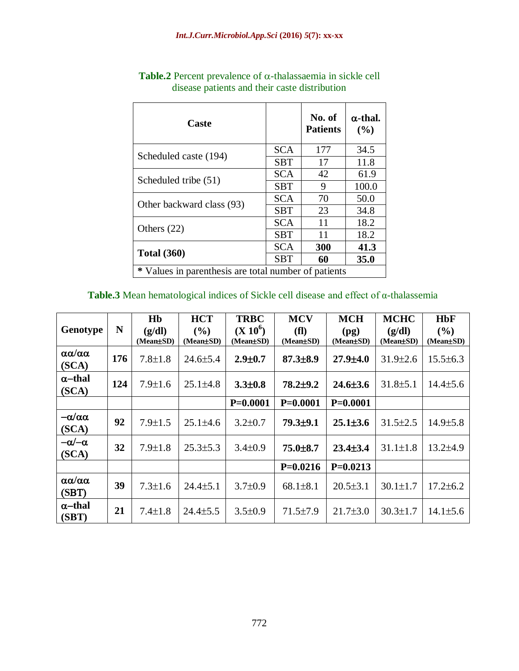| Caste                                                |            | No. of<br><b>Patients</b> | $\alpha$ -thal.<br>(%) |  |  |
|------------------------------------------------------|------------|---------------------------|------------------------|--|--|
| Scheduled caste (194)                                | <b>SCA</b> | 177                       | 34.5                   |  |  |
|                                                      | <b>SBT</b> | 17                        | 11.8                   |  |  |
| Scheduled tribe (51)                                 | <b>SCA</b> | 42                        | 61.9                   |  |  |
|                                                      | <b>SBT</b> | 9                         | 100.0                  |  |  |
| Other backward class (93)                            | <b>SCA</b> | 70                        | 50.0                   |  |  |
|                                                      | <b>SBT</b> | 23                        | 34.8                   |  |  |
| Others $(22)$                                        | <b>SCA</b> | 11                        | 18.2                   |  |  |
|                                                      | <b>SBT</b> | 11                        | 18.2                   |  |  |
|                                                      | <b>SCA</b> | 300                       | 41.3                   |  |  |
| <b>Total</b> (360)                                   | <b>SBT</b> | 60                        | 35.0                   |  |  |
| * Values in parenthesis are total number of patients |            |                           |                        |  |  |

**Table.2** Percent prevalence of  $\alpha$ -thalassaemia in sickle cell disease patients and their caste distribution

| Table.3 Mean hematological indices of Sickle cell disease and effect of $\alpha$ -thalassemia |  |
|-----------------------------------------------------------------------------------------------|--|
|-----------------------------------------------------------------------------------------------|--|

|                                      |     | H <sub>b</sub> | <b>HCT</b>     | <b>TRBC</b>   | <b>MCV</b>     | <b>MCH</b>     | <b>MCHC</b>    | <b>HbF</b>     |
|--------------------------------------|-----|----------------|----------------|---------------|----------------|----------------|----------------|----------------|
| Genotype                             | N   | (g/dl)         | $($ %)         | $(X 10^6)$    | (f1)           | (pg)           | (g/dl)         | (9/0)          |
|                                      |     | (Mean±SD)      | (Mean±SD)      | (Mean±SD)     | (Mean±SD)      | (Mean±SD)      | (Mean±SD)      | (Mean±SD)      |
| $\alpha\alpha/\alpha\alpha$<br>(SCA) | 176 | $7.8 \pm 1.8$  | $24.6 \pm 5.4$ | $2.9 + 0.7$   | $87.3{\pm}8.9$ | $27.9 \pm 4.0$ | $31.9 \pm 2.6$ | $15.5 \pm 6.3$ |
| $\alpha$ –thal                       |     |                |                |               |                |                |                |                |
| (SCA)                                | 124 | $7.9 \pm 1.6$  | $25.1 \pm 4.8$ | $3.3 \pm 0.8$ | $78.2 \pm 9.2$ | $24.6 \pm 3.6$ | $31.8 \pm 5.1$ | $14.4 \pm 5.6$ |
|                                      |     |                |                | $P=0.0001$    | $P=0.0001$     | $P=0.0001$     |                |                |
| $-\alpha/\alpha\alpha$<br>(SCA)      | 92  | $7.9 \pm 1.5$  | $25.1 \pm 4.6$ | $3.2 \pm 0.7$ | $79.3 \pm 9.1$ | $25.1 \pm 3.6$ | $31.5 \pm 2.5$ | 14.9±5.8       |
|                                      |     |                |                |               |                |                |                |                |
| $-\alpha/\alpha$<br>(SCA)            | 32  | $7.9 \pm 1.8$  | $25.3 \pm 5.3$ | $3.4 \pm 0.9$ | $75.0 \pm 8.7$ | $23.4 \pm 3.4$ | $31.1 \pm 1.8$ | $13.2{\pm}4.9$ |
|                                      |     |                |                |               | $P=0.0216$     | $P=0.0213$     |                |                |
| $\alpha\alpha/\alpha\alpha$<br>(SBT) | 39  | $7.3 \pm 1.6$  | $24.4 \pm 5.1$ | $3.7 \pm 0.9$ | $68.1 \pm 8.1$ | $20.5 \pm 3.1$ | $30.1 \pm 1.7$ | $17.2 \pm 6.2$ |
| $\alpha$ –thal<br>(SBT)              | 21  | $7.4 \pm 1.8$  | $24.4 \pm 5.5$ | $3.5 \pm 0.9$ | $71.5 \pm 7.9$ | $21.7 \pm 3.0$ | $30.3 \pm 1.7$ | $14.1 \pm 5.6$ |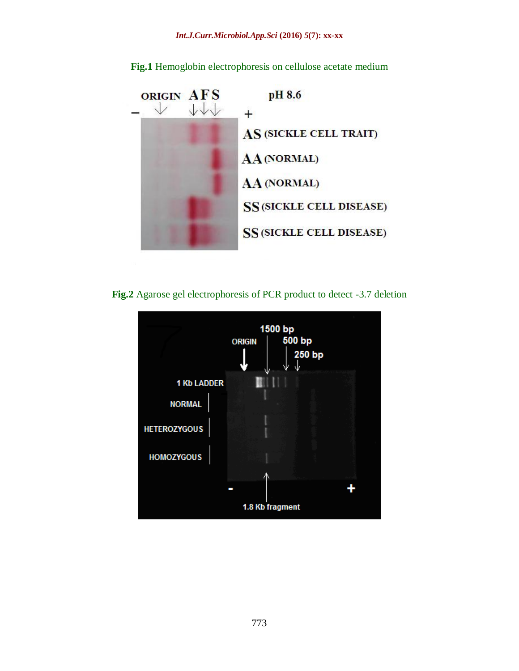

**Fig.1** Hemoglobin electrophoresis on cellulose acetate medium

**Fig.2** Agarose gel electrophoresis of PCR product to detect -3.7 deletion

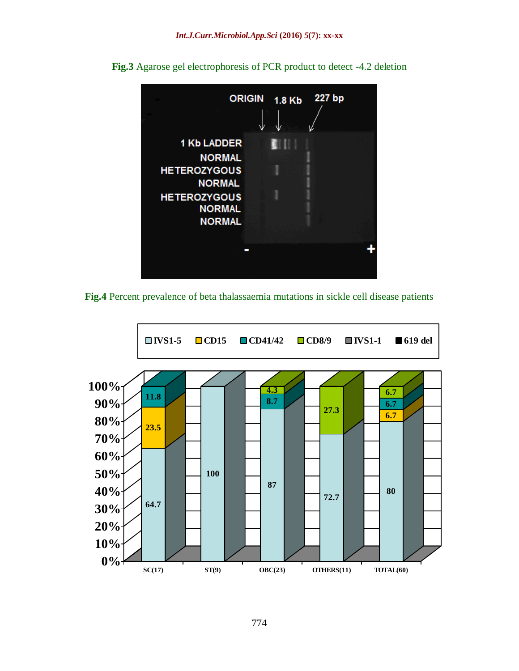

**Fig.3** Agarose gel electrophoresis of PCR product to detect -4.2 deletion



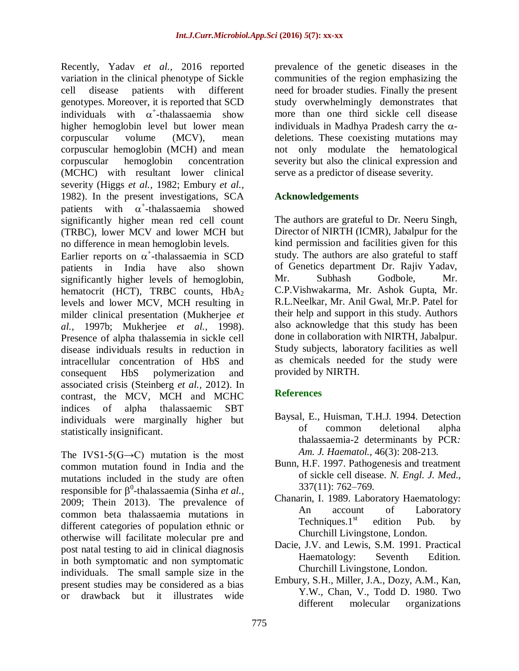Recently, Yadav *et al.,* 2016 reported variation in the clinical phenotype of Sickle cell disease patients with different genotypes. Moreover, it is reported that SCD individuals with  $\alpha^+$ -thalassaemia show higher hemoglobin level but lower mean corpuscular volume (MCV), mean corpuscular hemoglobin (MCH) and mean corpuscular hemoglobin concentration (MCHC) with resultant lower clinical severity (Higgs *et al.,* 1982; Embury *et al.,* 1982). In the present investigations, SCA patients with  $\alpha^+$ -thalassaemia showed significantly higher mean red cell count (TRBC), lower MCV and lower MCH but no difference in mean hemoglobin levels.

Earlier reports on  $\alpha^*$ -thalassaemia in SCD patients in India have also shown significantly higher levels of hemoglobin, hematocrit (HCT), TRBC counts, HbA2 levels and lower MCV, MCH resulting in milder clinical presentation (Mukherjee *et al.,* 1997b; Mukherjee *et al.,* 1998). Presence of alpha thalassemia in sickle cell disease individuals results in reduction in intracellular concentration of HbS and consequent HbS polymerization and associated crisis (Steinberg *et al.,* 2012). In contrast, the MCV, MCH and MCHC indices of alpha thalassaemic SBT individuals were marginally higher but statistically insignificant.

The IVS1-5( $G \rightarrow C$ ) mutation is the most common mutation found in India and the mutations included in the study are often responsible for β<sup>0</sup>-thalassaemia (Sinha *et al.*, 2009; Thein 2013). The prevalence of common beta thalassaemia mutations in different categories of population ethnic or otherwise will facilitate molecular pre and post natal testing to aid in clinical diagnosis in both symptomatic and non symptomatic individuals. The small sample size in the present studies may be considered as a bias or drawback but it illustrates wide

prevalence of the genetic diseases in the communities of the region emphasizing the need for broader studies. Finally the present study overwhelmingly demonstrates that more than one third sickle cell disease individuals in Madhya Pradesh carry the  $\alpha$ deletions. These coexisting mutations may not only modulate the hematological severity but also the clinical expression and serve as a predictor of disease severity.

## **Acknowledgements**

The authors are grateful to Dr. Neeru Singh, Director of NIRTH (ICMR), Jabalpur for the kind permission and facilities given for this study. The authors are also grateful to staff of Genetics department Dr. Rajiv Yadav, Mr. Subhash Godbole, Mr. C.P.Vishwakarma, Mr. Ashok Gupta, Mr. R.L.Neelkar, Mr. Anil Gwal, Mr.P. Patel for their help and support in this study. Authors also acknowledge that this study has been done in collaboration with NIRTH, Jabalpur. Study subjects, laboratory facilities as well as chemicals needed for the study were provided by NIRTH.

## **References**

- Baysal, E., Huisman, T.H.J. 1994. Detection of common deletional alpha thalassaemia-2 determinants by PCR*: Am. J. Haematol.,* 46(3): 208-213.
- Bunn, H.F. 1997. Pathogenesis and treatment of sickle cell disease. *N. Engl. J. Med.,* 337(11): 762–769.
- Chanarin, I. 1989. Laboratory Haematology: An account of Laboratory Techniques. $1<sup>st</sup>$  edition Pub. by Churchill Livingstone, London.
- Dacie, J.V. and Lewis, S.M. 1991. Practical Haematology: Seventh Edition. Churchill Livingstone, London.
- Embury, S.H., Miller, J.A., Dozy, A.M., Kan, Y.W., Chan, V., Todd D. 1980. Two different molecular organizations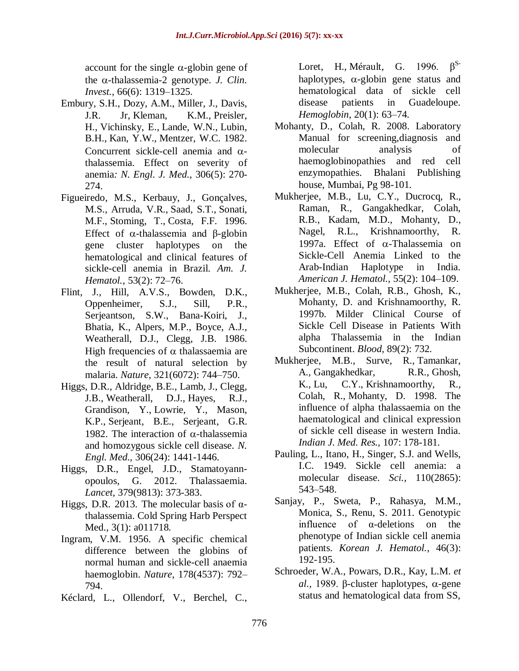account for the single  $\alpha$ -globin gene of the  $\alpha$ -thalassemia-2 genotype. *J. Clin. Invest.,* 66(6): 1319–1325.

- Embury, S.H., Dozy, A.M., Miller, J., Davis, J.R. Jr, Kleman, K.M., Preisler, H., Vichinsky, E., Lande, W.N., Lubin, B.H., Kan, Y.W., Mentzer, W.C. 1982. Concurrent sickle-cell anemia and  $\alpha$ thalassemia. Effect on severity of anemia*: N. Engl. J. Med.,* 306(5): 270- 274.
- Figueiredo, M.S., Kerbauy, J., Gonçalves, M.S., Arruda, V.R., Saad, S.T., Sonati, M.F., Stoming, T., Costa, F.F. 1996. Effect of  $\alpha$ -thalassemia and β-globin gene cluster haplotypes on the hematological and clinical features of sickle-cell anemia in Brazil. *Am. J. Hematol.,* 53(2): 72–76.
- Flint, J., Hill, A.V.S., Bowden, D.K., Oppenheimer, S.J., Sill, P.R., Serjeantson, S.W., Bana-Koiri, J., Bhatia, K., Alpers, M.P., Boyce, A.J., Weatherall, D.J., Clegg, J.B. 1986. High frequencies of  $\alpha$  thalassaemia are the result of natural selection by malaria. *Nature,* 321(6072): 744–750.
- Higgs, D.R., Aldridge, B.E., Lamb, J., Clegg, J.B., Weatherall, D.J., Hayes, R.J., Grandison, Y., Lowrie, Y., Mason, K.P., Serjeant, B.E., Serjeant, G.R. 1982. The interaction of  $\alpha$ -thalassemia and homozygous sickle cell disease. *N. Engl. Med.,* 306(24): 1441-1446.
- Higgs, D.R., Engel, J.D., Stamatoyannopoulos, G. 2012. Thalassaemia. *Lancet,* 379(9813): 373-383.
- Higgs, D.R. 2013. The molecular basis of  $α$ thalassemia. Cold Spring Harb Perspect Med., 3(1): a011718.
- Ingram, V.M. 1956. A specific chemical difference between the globins of normal human and sickle-cell anaemia haemoglobin. *Nature,* 178(4537): 792– 794.
- Kéclard, L., Ollendorf, V., Berchel, C.,

Loret, H., Mérault, G. 1996.  $\beta^{S}$ haplotypes,  $\alpha$ -globin gene status and hematological data of sickle cell disease patients in Guadeloupe. *Hemoglobin,* 20(1): 63–74.

- Mohanty, D., Colah, R. 2008. Laboratory Manual for screening,diagnosis and molecular analysis of haemoglobinopathies and red cell enzymopathies. Bhalani Publishing house, Mumbai, Pg 98-101.
- Mukherjee, M.B., Lu, C.Y., Ducrocq, R., Raman, R., Gangakhedkar, Colah, R.B., Kadam, M.D., Mohanty, D., Nagel, R.L., Krishnamoorthy, R. 1997a. Effect of  $\alpha$ -Thalassemia on Sickle-Cell Anemia Linked to the Arab-Indian Haplotype in India. *American J. Hematol.,* 55(2): 104–109.
- Mukherjee, M.B., Colah, R.B., Ghosh, K., Mohanty, D. and Krishnamoorthy, R. 1997b. Milder Clinical Course of Sickle Cell Disease in Patients With alpha Thalassemia in the Indian Subcontinent. *Blood,* 89(2): 732.
- Mukherjee, M.B., Surve, R., Tamankar, A., Gangakhedkar, R.R., Ghosh, K., Lu, C.Y., Krishnamoorthy, R., Colah, R., Mohanty, D. 1998. The influence of alpha thalassaemia on the haematological and clinical expression of sickle cell disease in western India. *Indian J. Med. Res.,* 107: 178-181.
- Pauling, L., Itano, H., Singer, S.J. and Wells, I.C. 1949. Sickle cell anemia: a molecular disease. *Sci.,* 110(2865): 543–548.
- Sanjay, P., Sweta, P., Rahasya, M.M., Monica, S., Renu, S. 2011. Genotypic influence of α-deletions on the phenotype of Indian sickle cell anemia patients. *Korean J. Hematol.,* 46(3): 192-195.
- Schroeder, W.A., Powars, D.R., Kay, L.M. *et al.,* 1989. β-cluster haplotypes,  $α$ -gene status and hematological data from SS,